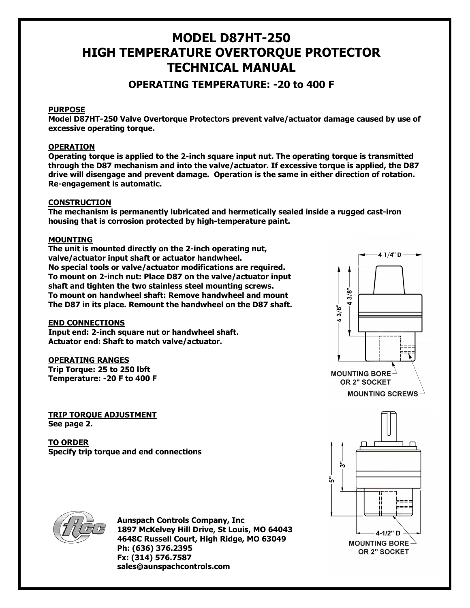# MODEL D87HT-250 HIGH TEMPERATURE OVERTORQUE PROTECTOR TECHNICAL MANUAL

# OPERATING TEMPERATURE: -20 to 400 F

# **PURPOSE**

Model D87HT-250 Valve Overtorque Protectors prevent valve/actuator damage caused by use of excessive operating torque.

## **OPERATION**

Operating torque is applied to the 2-inch square input nut. The operating torque is transmitted through the D87 mechanism and into the valve/actuator. If excessive torque is applied, the D87 drive will disengage and prevent damage. Operation is the same in either direction of rotation. Re-engagement is automatic.

### **CONSTRUCTION**

The mechanism is permanently lubricated and hermetically sealed inside a rugged cast-iron housing that is corrosion protected by high-temperature paint.

### MOUNTING

The unit is mounted directly on the 2-inch operating nut, valve/actuator input shaft or actuator handwheel. No special tools or valve/actuator modifications are required. To mount on 2-inch nut: Place D87 on the valve/actuator input shaft and tighten the two stainless steel mounting screws. To mount on handwheel shaft: Remove handwheel and mount The D87 in its place. Remount the handwheel on the D87 shaft.

#### END CONNECTIONS

Input end: 2-inch square nut or handwheel shaft. Actuator end: Shaft to match valve/actuator.

#### OPERATING RANGES

Trip Torque: 25 to 250 lbft Temperature: -20 F to 400 F

TRIP TORQUE ADJUSTMENT See page 2.

TO ORDER Specify trip torque and end connections





Aunspach Controls Company, Inc 1897 McKelvey Hill Drive, St Louis, MO 64043 4648C Russell Court, High Ridge, MO 63049 Ph: (636) 376.2395 Fx: (314) 576.7587 sales@aunspachcontrols.com